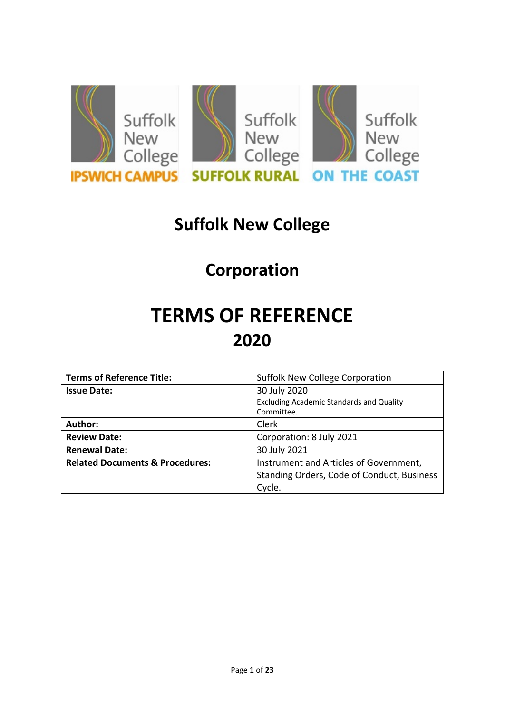

## **Suffolk New College**

# **Corporation**

# **TERMS OF REFERENCE 2020**

| <b>Terms of Reference Title:</b>           | Suffolk New College Corporation                 |
|--------------------------------------------|-------------------------------------------------|
| <b>Issue Date:</b>                         | 30 July 2020                                    |
|                                            | <b>Excluding Academic Standards and Quality</b> |
|                                            | Committee.                                      |
| Author:                                    | Clerk                                           |
| <b>Review Date:</b>                        | Corporation: 8 July 2021                        |
| <b>Renewal Date:</b>                       | 30 July 2021                                    |
| <b>Related Documents &amp; Procedures:</b> | Instrument and Articles of Government,          |
|                                            | Standing Orders, Code of Conduct, Business      |
|                                            | Cycle.                                          |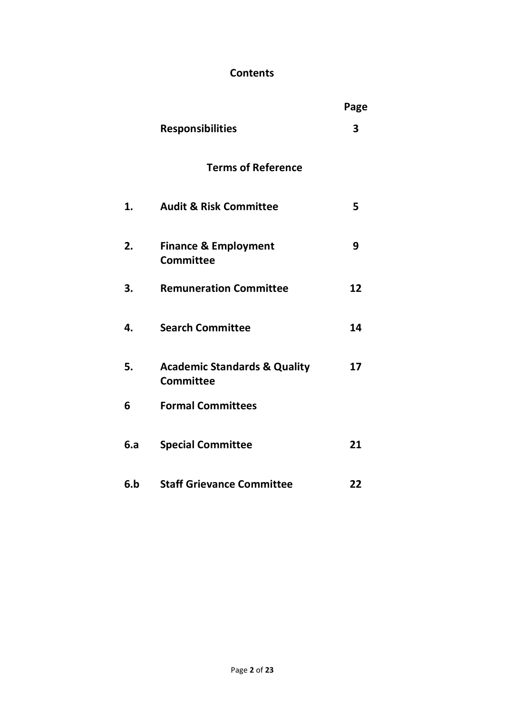## **Contents**

|     |                                                             | Page |
|-----|-------------------------------------------------------------|------|
|     | <b>Responsibilities</b>                                     | 3    |
|     | <b>Terms of Reference</b>                                   |      |
| 1.  | <b>Audit &amp; Risk Committee</b>                           | 5    |
| 2.  | <b>Finance &amp; Employment</b><br><b>Committee</b>         | 9    |
| 3.  | <b>Remuneration Committee</b>                               | 12   |
| 4.  | <b>Search Committee</b>                                     | 14   |
| 5.  | <b>Academic Standards &amp; Quality</b><br><b>Committee</b> | 17   |
| 6   | <b>Formal Committees</b>                                    |      |
| 6.а | <b>Special Committee</b>                                    | 21   |
| 6.b | <b>Staff Grievance Committee</b>                            | 22   |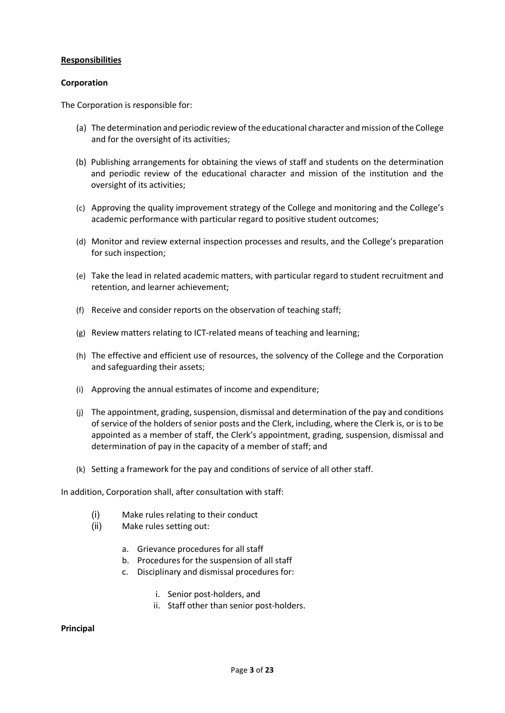#### **Responsibilities**

#### **Corporation**

The Corporation is responsible for:

- (a) The determination and periodic review of the educational character and mission of the College and for the oversight of its activities;
- (b) Publishing arrangements for obtaining the views of staff and students on the determination and periodic review of the educational character and mission of the institution and the oversight of its activities;
- (c) Approving the quality improvement strategy of the College and monitoring and the College's academic performance with particular regard to positive student outcomes;
- (d) Monitor and review external inspection processes and results, and the College's preparation for such inspection;
- (e) Take the lead in related academic matters, with particular regard to student recruitment and retention, and learner achievement;
- (f) Receive and consider reports on the observation of teaching staff;
- (g) Review matters relating to ICT-related means of teaching and learning;
- (h) The effective and efficient use of resources, the solvency of the College and the Corporation and safeguarding their assets;
- (i) Approving the annual estimates of income and expenditure;
- (j) The appointment, grading, suspension, dismissal and determination of the pay and conditions of service of the holders of senior posts and the Clerk, including, where the Clerk is, or is to be appointed as a member of staff, the Clerk's appointment, grading, suspension, dismissal and determination of pay in the capacity of a member of staff; and
- (k) Setting a framework for the pay and conditions of service of all other staff.

In addition, Corporation shall, after consultation with staff:

- (i) Make rules relating to their conduct
- (ii) Make rules setting out:
	- a. Grievance procedures for all staff
	- b. Procedures for the suspension of all staff
	- c. Disciplinary and dismissal procedures for:
		- i. Senior post-holders, and
		- ii. Staff other than senior post-holders.

#### **Principal**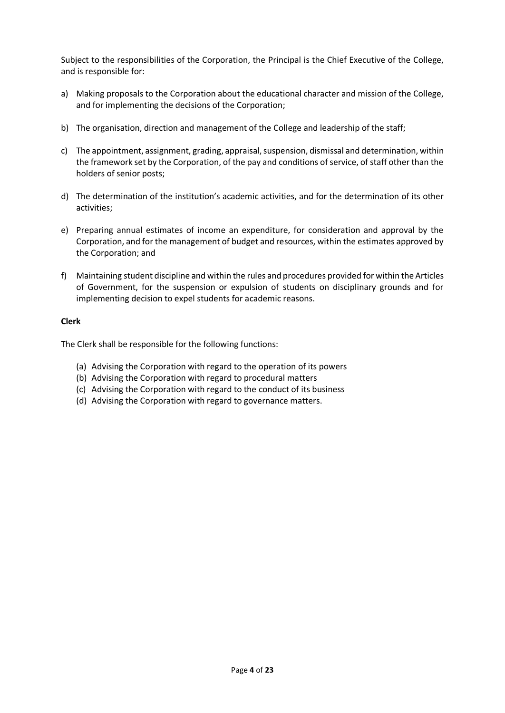Subject to the responsibilities of the Corporation, the Principal is the Chief Executive of the College, and is responsible for:

- a) Making proposals to the Corporation about the educational character and mission of the College, and for implementing the decisions of the Corporation;
- b) The organisation, direction and management of the College and leadership of the staff;
- c) The appointment, assignment, grading, appraisal, suspension, dismissal and determination, within the framework set by the Corporation, of the pay and conditions of service, of staff other than the holders of senior posts;
- d) The determination of the institution's academic activities, and for the determination of its other activities;
- e) Preparing annual estimates of income an expenditure, for consideration and approval by the Corporation, and for the management of budget and resources, within the estimates approved by the Corporation; and
- f) Maintaining student discipline and within the rules and procedures provided for within the Articles of Government, for the suspension or expulsion of students on disciplinary grounds and for implementing decision to expel students for academic reasons.

#### **Clerk**

The Clerk shall be responsible for the following functions:

- (a) Advising the Corporation with regard to the operation of its powers
- (b) Advising the Corporation with regard to procedural matters
- (c) Advising the Corporation with regard to the conduct of its business
- (d) Advising the Corporation with regard to governance matters.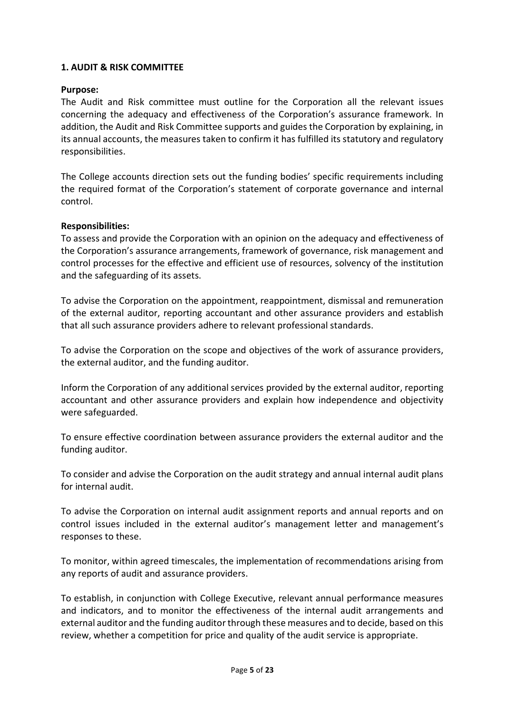#### **1. AUDIT & RISK COMMITTEE**

#### **Purpose:**

The Audit and Risk committee must outline for the Corporation all the relevant issues concerning the adequacy and effectiveness of the Corporation's assurance framework. In addition, the Audit and Risk Committee supports and guides the Corporation by explaining, in its annual accounts, the measures taken to confirm it has fulfilled its statutory and regulatory responsibilities.

The College accounts direction sets out the funding bodies' specific requirements including the required format of the Corporation's statement of corporate governance and internal control.

#### **Responsibilities:**

To assess and provide the Corporation with an opinion on the adequacy and effectiveness of the Corporation's assurance arrangements, framework of governance, risk management and control processes for the effective and efficient use of resources, solvency of the institution and the safeguarding of its assets.

To advise the Corporation on the appointment, reappointment, dismissal and remuneration of the external auditor, reporting accountant and other assurance providers and establish that all such assurance providers adhere to relevant professional standards.

To advise the Corporation on the scope and objectives of the work of assurance providers, the external auditor, and the funding auditor.

Inform the Corporation of any additional services provided by the external auditor, reporting accountant and other assurance providers and explain how independence and objectivity were safeguarded.

To ensure effective coordination between assurance providers the external auditor and the funding auditor.

To consider and advise the Corporation on the audit strategy and annual internal audit plans for internal audit.

To advise the Corporation on internal audit assignment reports and annual reports and on control issues included in the external auditor's management letter and management's responses to these.

To monitor, within agreed timescales, the implementation of recommendations arising from any reports of audit and assurance providers.

To establish, in conjunction with College Executive, relevant annual performance measures and indicators, and to monitor the effectiveness of the internal audit arrangements and external auditor and the funding auditor through these measures and to decide, based on this review, whether a competition for price and quality of the audit service is appropriate.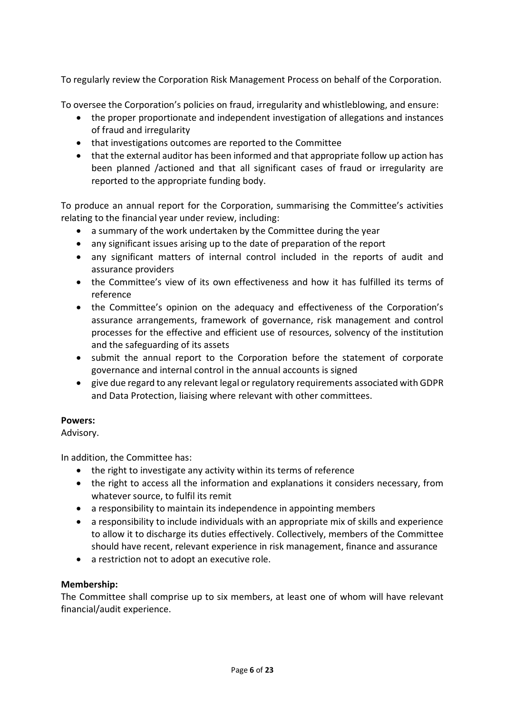To regularly review the Corporation Risk Management Process on behalf of the Corporation.

To oversee the Corporation's policies on fraud, irregularity and whistleblowing, and ensure:

- the proper proportionate and independent investigation of allegations and instances of fraud and irregularity
- that investigations outcomes are reported to the Committee
- that the external auditor has been informed and that appropriate follow up action has been planned /actioned and that all significant cases of fraud or irregularity are reported to the appropriate funding body.

To produce an annual report for the Corporation, summarising the Committee's activities relating to the financial year under review, including:

- a summary of the work undertaken by the Committee during the year
- any significant issues arising up to the date of preparation of the report
- any significant matters of internal control included in the reports of audit and assurance providers
- the Committee's view of its own effectiveness and how it has fulfilled its terms of reference
- the Committee's opinion on the adequacy and effectiveness of the Corporation's assurance arrangements, framework of governance, risk management and control processes for the effective and efficient use of resources, solvency of the institution and the safeguarding of its assets
- submit the annual report to the Corporation before the statement of corporate governance and internal control in the annual accounts is signed
- give due regard to any relevant legal or regulatory requirements associated with GDPR and Data Protection, liaising where relevant with other committees.

#### **Powers:**

Advisory.

In addition, the Committee has:

- the right to investigate any activity within its terms of reference
- the right to access all the information and explanations it considers necessary, from whatever source, to fulfil its remit
- a responsibility to maintain its independence in appointing members
- a responsibility to include individuals with an appropriate mix of skills and experience to allow it to discharge its duties effectively. Collectively, members of the Committee should have recent, relevant experience in risk management, finance and assurance
- a restriction not to adopt an executive role.

#### **Membership:**

The Committee shall comprise up to six members, at least one of whom will have relevant financial/audit experience.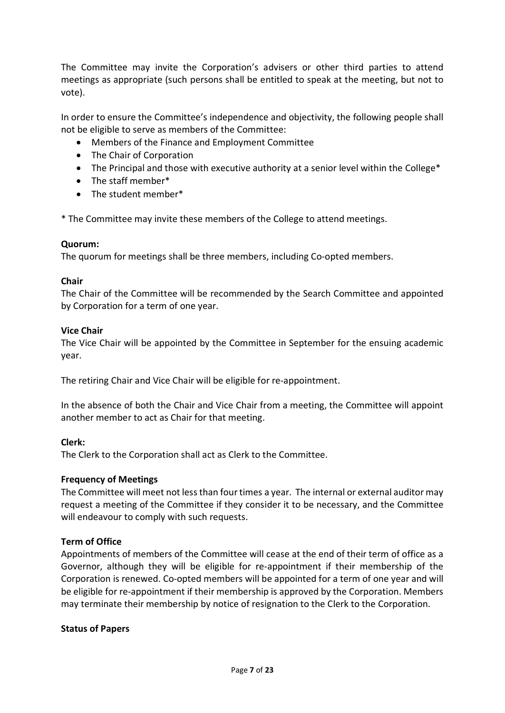The Committee may invite the Corporation's advisers or other third parties to attend meetings as appropriate (such persons shall be entitled to speak at the meeting, but not to vote).

In order to ensure the Committee's independence and objectivity, the following people shall not be eligible to serve as members of the Committee:

- Members of the Finance and Employment Committee
- The Chair of Corporation
- The Principal and those with executive authority at a senior level within the College\*
- The staff member\*
- The student member\*

\* The Committee may invite these members of the College to attend meetings.

#### **Quorum:**

The quorum for meetings shall be three members, including Co-opted members.

#### **Chair**

The Chair of the Committee will be recommended by the Search Committee and appointed by Corporation for a term of one year.

#### **Vice Chair**

The Vice Chair will be appointed by the Committee in September for the ensuing academic year.

The retiring Chair and Vice Chair will be eligible for re-appointment.

In the absence of both the Chair and Vice Chair from a meeting, the Committee will appoint another member to act as Chair for that meeting.

#### **Clerk:**

The Clerk to the Corporation shall act as Clerk to the Committee.

#### **Frequency of Meetings**

The Committee will meet not less than four times a year. The internal or external auditor may request a meeting of the Committee if they consider it to be necessary, and the Committee will endeavour to comply with such requests.

#### **Term of Office**

Appointments of members of the Committee will cease at the end of their term of office as a Governor, although they will be eligible for re-appointment if their membership of the Corporation is renewed. Co-opted members will be appointed for a term of one year and will be eligible for re-appointment if their membership is approved by the Corporation. Members may terminate their membership by notice of resignation to the Clerk to the Corporation.

#### **Status of Papers**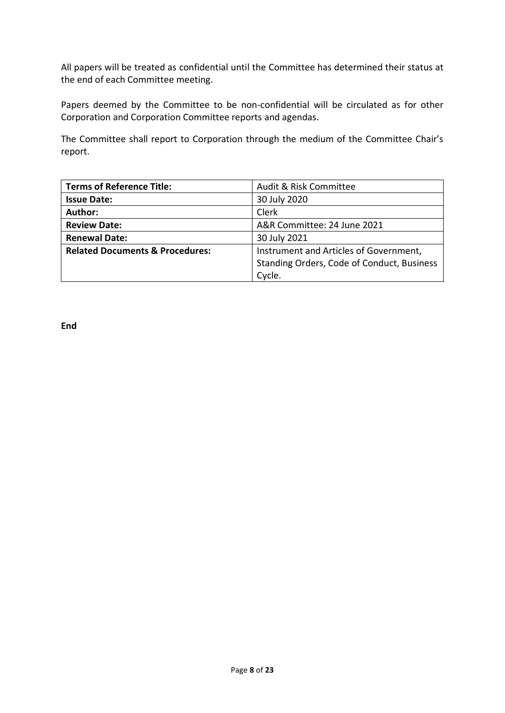All papers will be treated as confidential until the Committee has determined their status at the end of each Committee meeting.

Papers deemed by the Committee to be non-confidential will be circulated as for other Corporation and Corporation Committee reports and agendas.

The Committee shall report to Corporation through the medium of the Committee Chair's report.

| <b>Terms of Reference Title:</b>           | Audit & Risk Committee                     |
|--------------------------------------------|--------------------------------------------|
| <b>Issue Date:</b>                         | 30 July 2020                               |
| Author:                                    | <b>Clerk</b>                               |
| <b>Review Date:</b>                        | A&R Committee: 24 June 2021                |
| <b>Renewal Date:</b>                       | 30 July 2021                               |
| <b>Related Documents &amp; Procedures:</b> | Instrument and Articles of Government,     |
|                                            | Standing Orders, Code of Conduct, Business |
|                                            | Cycle.                                     |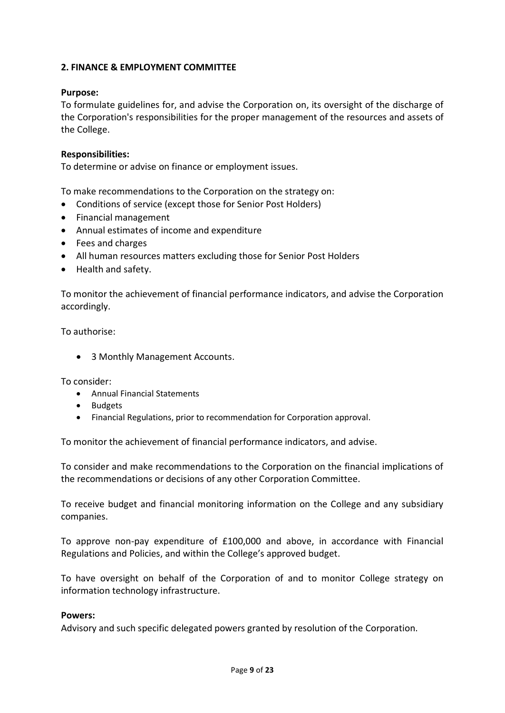#### **2. FINANCE & EMPLOYMENT COMMITTEE**

#### **Purpose:**

To formulate guidelines for, and advise the Corporation on, its oversight of the discharge of the Corporation's responsibilities for the proper management of the resources and assets of the College.

#### **Responsibilities:**

To determine or advise on finance or employment issues.

To make recommendations to the Corporation on the strategy on:

- Conditions of service (except those for Senior Post Holders)
- Financial management
- Annual estimates of income and expenditure
- Fees and charges
- All human resources matters excluding those for Senior Post Holders
- Health and safety.

To monitor the achievement of financial performance indicators, and advise the Corporation accordingly.

To authorise:

• 3 Monthly Management Accounts.

To consider:

- Annual Financial Statements
- Budgets
- Financial Regulations, prior to recommendation for Corporation approval.

To monitor the achievement of financial performance indicators, and advise.

To consider and make recommendations to the Corporation on the financial implications of the recommendations or decisions of any other Corporation Committee.

To receive budget and financial monitoring information on the College and any subsidiary companies.

To approve non-pay expenditure of £100,000 and above, in accordance with Financial Regulations and Policies, and within the College's approved budget.

To have oversight on behalf of the Corporation of and to monitor College strategy on information technology infrastructure.

#### **Powers:**

Advisory and such specific delegated powers granted by resolution of the Corporation.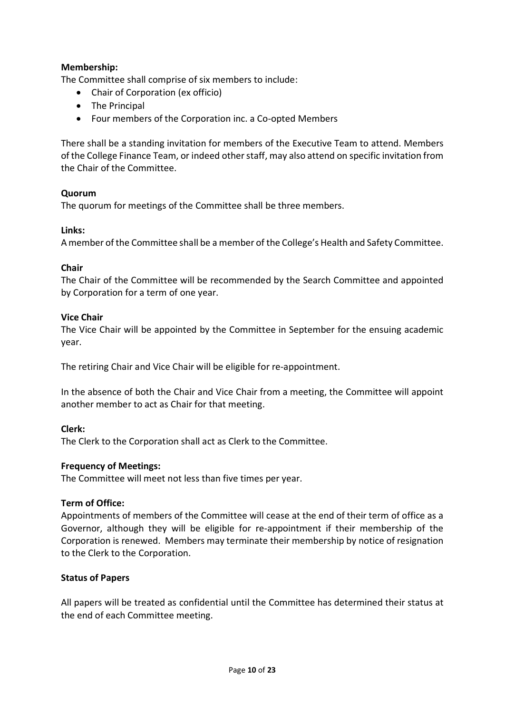#### **Membership:**

The Committee shall comprise of six members to include:

- Chair of Corporation (ex officio)
- The Principal
- Four members of the Corporation inc. a Co-opted Members

There shall be a standing invitation for members of the Executive Team to attend. Members of the College Finance Team, or indeed other staff, may also attend on specific invitation from the Chair of the Committee.

#### **Quorum**

The quorum for meetings of the Committee shall be three members.

#### **Links:**

A member of the Committee shall be a member of the College's Health and Safety Committee.

#### **Chair**

The Chair of the Committee will be recommended by the Search Committee and appointed by Corporation for a term of one year.

#### **Vice Chair**

The Vice Chair will be appointed by the Committee in September for the ensuing academic year.

The retiring Chair and Vice Chair will be eligible for re-appointment.

In the absence of both the Chair and Vice Chair from a meeting, the Committee will appoint another member to act as Chair for that meeting.

#### **Clerk:**

The Clerk to the Corporation shall act as Clerk to the Committee.

#### **Frequency of Meetings:**

The Committee will meet not less than five times per year.

#### **Term of Office:**

Appointments of members of the Committee will cease at the end of their term of office as a Governor, although they will be eligible for re-appointment if their membership of the Corporation is renewed. Members may terminate their membership by notice of resignation to the Clerk to the Corporation.

#### **Status of Papers**

All papers will be treated as confidential until the Committee has determined their status at the end of each Committee meeting.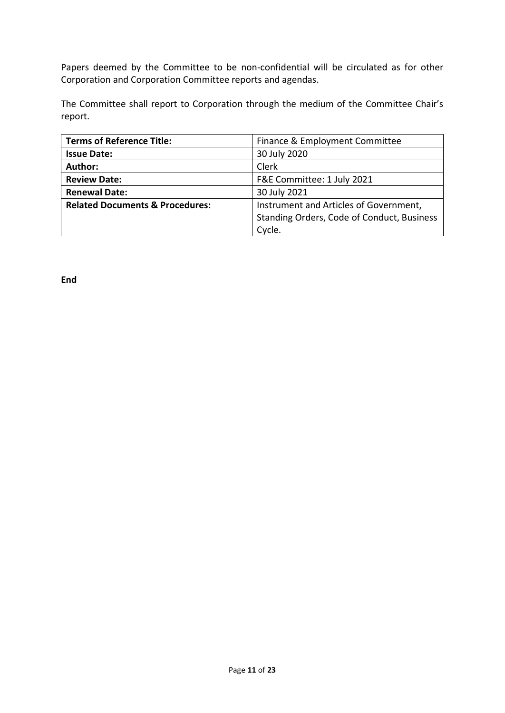Papers deemed by the Committee to be non-confidential will be circulated as for other Corporation and Corporation Committee reports and agendas.

The Committee shall report to Corporation through the medium of the Committee Chair's report.

| <b>Terms of Reference Title:</b>           | Finance & Employment Committee             |
|--------------------------------------------|--------------------------------------------|
| <b>Issue Date:</b>                         | 30 July 2020                               |
| Author:                                    | Clerk                                      |
| <b>Review Date:</b>                        | F&E Committee: 1 July 2021                 |
| <b>Renewal Date:</b>                       | 30 July 2021                               |
| <b>Related Documents &amp; Procedures:</b> | Instrument and Articles of Government,     |
|                                            | Standing Orders, Code of Conduct, Business |
|                                            | Cycle.                                     |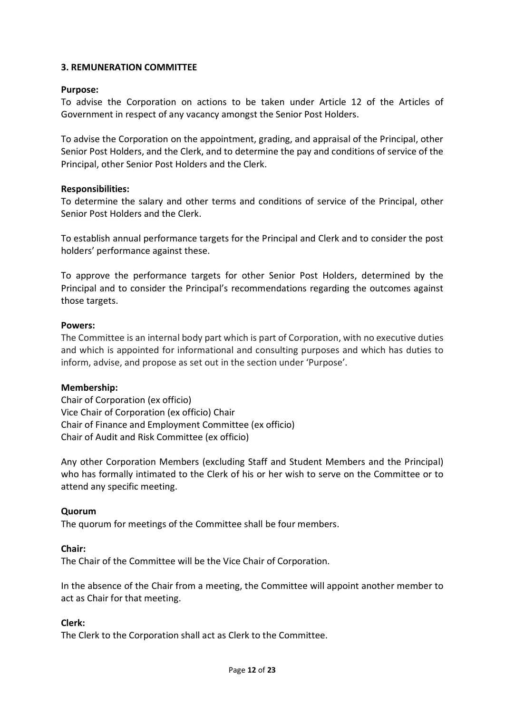#### **3. REMUNERATION COMMITTEE**

#### **Purpose:**

To advise the Corporation on actions to be taken under Article 12 of the Articles of Government in respect of any vacancy amongst the Senior Post Holders.

To advise the Corporation on the appointment, grading, and appraisal of the Principal, other Senior Post Holders, and the Clerk, and to determine the pay and conditions of service of the Principal, other Senior Post Holders and the Clerk.

#### **Responsibilities:**

To determine the salary and other terms and conditions of service of the Principal, other Senior Post Holders and the Clerk.

To establish annual performance targets for the Principal and Clerk and to consider the post holders' performance against these.

To approve the performance targets for other Senior Post Holders, determined by the Principal and to consider the Principal's recommendations regarding the outcomes against those targets.

#### **Powers:**

The Committee is an internal body part which is part of Corporation, with no executive duties and which is appointed for informational and consulting purposes and which has duties to inform, advise, and propose as set out in the section under 'Purpose'.

#### **Membership:**

Chair of Corporation (ex officio) Vice Chair of Corporation (ex officio) Chair Chair of Finance and Employment Committee (ex officio) Chair of Audit and Risk Committee (ex officio)

Any other Corporation Members (excluding Staff and Student Members and the Principal) who has formally intimated to the Clerk of his or her wish to serve on the Committee or to attend any specific meeting.

#### **Quorum**

The quorum for meetings of the Committee shall be four members.

#### **Chair:**

The Chair of the Committee will be the Vice Chair of Corporation.

In the absence of the Chair from a meeting, the Committee will appoint another member to act as Chair for that meeting.

#### **Clerk:**

The Clerk to the Corporation shall act as Clerk to the Committee.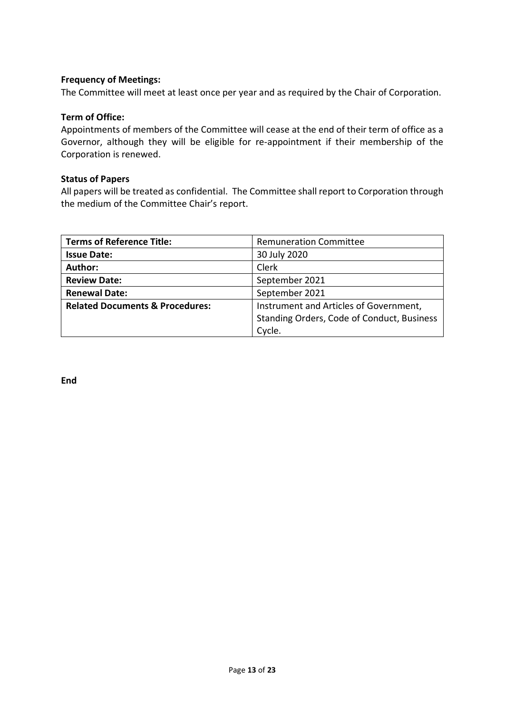#### **Frequency of Meetings:**

The Committee will meet at least once per year and as required by the Chair of Corporation.

#### **Term of Office:**

Appointments of members of the Committee will cease at the end of their term of office as a Governor, although they will be eligible for re-appointment if their membership of the Corporation is renewed.

#### **Status of Papers**

All papers will be treated as confidential. The Committee shall report to Corporation through the medium of the Committee Chair's report.

| <b>Terms of Reference Title:</b>           | <b>Remuneration Committee</b>              |
|--------------------------------------------|--------------------------------------------|
| <b>Issue Date:</b>                         | 30 July 2020                               |
| Author:                                    | Clerk                                      |
| <b>Review Date:</b>                        | September 2021                             |
| <b>Renewal Date:</b>                       | September 2021                             |
| <b>Related Documents &amp; Procedures:</b> | Instrument and Articles of Government,     |
|                                            | Standing Orders, Code of Conduct, Business |
|                                            | Cycle.                                     |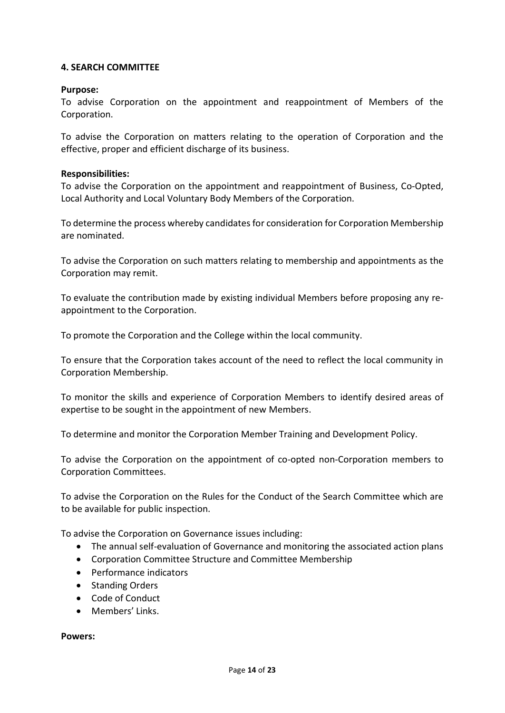#### **4. SEARCH COMMITTEE**

#### **Purpose:**

To advise Corporation on the appointment and reappointment of Members of the Corporation.

To advise the Corporation on matters relating to the operation of Corporation and the effective, proper and efficient discharge of its business.

#### **Responsibilities:**

To advise the Corporation on the appointment and reappointment of Business, Co-Opted, Local Authority and Local Voluntary Body Members of the Corporation.

To determine the process whereby candidates for consideration for Corporation Membership are nominated.

To advise the Corporation on such matters relating to membership and appointments as the Corporation may remit.

To evaluate the contribution made by existing individual Members before proposing any reappointment to the Corporation.

To promote the Corporation and the College within the local community.

To ensure that the Corporation takes account of the need to reflect the local community in Corporation Membership.

To monitor the skills and experience of Corporation Members to identify desired areas of expertise to be sought in the appointment of new Members.

To determine and monitor the Corporation Member Training and Development Policy.

To advise the Corporation on the appointment of co-opted non-Corporation members to Corporation Committees.

To advise the Corporation on the Rules for the Conduct of the Search Committee which are to be available for public inspection.

To advise the Corporation on Governance issues including:

- The annual self-evaluation of Governance and monitoring the associated action plans
- Corporation Committee Structure and Committee Membership
- Performance indicators
- Standing Orders
- Code of Conduct
- Members' Links.

**Powers:**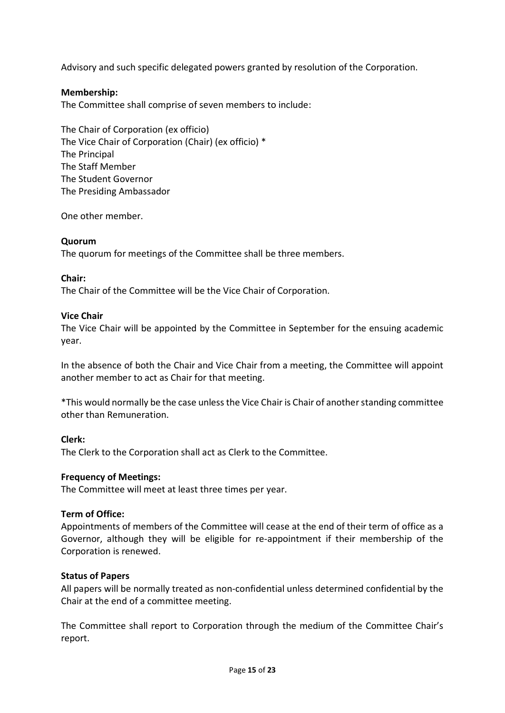Advisory and such specific delegated powers granted by resolution of the Corporation.

#### **Membership:**

The Committee shall comprise of seven members to include:

The Chair of Corporation (ex officio) The Vice Chair of Corporation (Chair) (ex officio) \* The Principal The Staff Member The Student Governor The Presiding Ambassador

One other member.

#### **Quorum**

The quorum for meetings of the Committee shall be three members.

#### **Chair:**

The Chair of the Committee will be the Vice Chair of Corporation.

#### **Vice Chair**

The Vice Chair will be appointed by the Committee in September for the ensuing academic year.

In the absence of both the Chair and Vice Chair from a meeting, the Committee will appoint another member to act as Chair for that meeting.

\*This would normally be the case unless the Vice Chair is Chair of another standing committee other than Remuneration.

#### **Clerk:**

The Clerk to the Corporation shall act as Clerk to the Committee.

#### **Frequency of Meetings:**

The Committee will meet at least three times per year.

#### **Term of Office:**

Appointments of members of the Committee will cease at the end of their term of office as a Governor, although they will be eligible for re-appointment if their membership of the Corporation is renewed.

#### **Status of Papers**

All papers will be normally treated as non-confidential unless determined confidential by the Chair at the end of a committee meeting.

The Committee shall report to Corporation through the medium of the Committee Chair's report.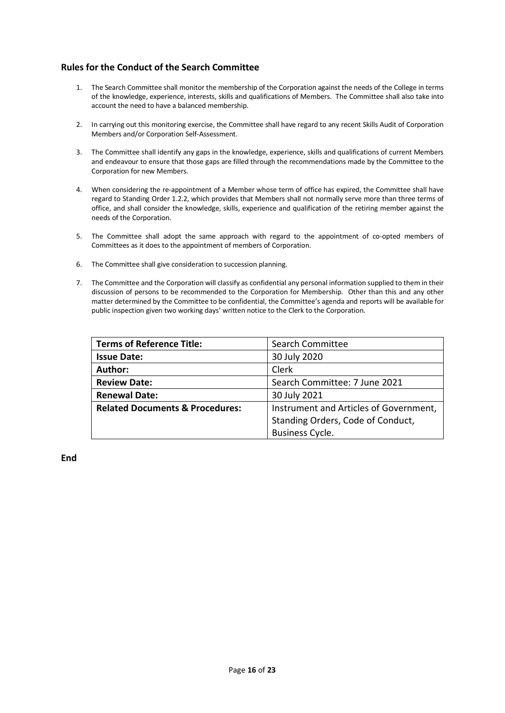#### **Rules for the Conduct of the Search Committee**

- 1. The Search Committee shall monitor the membership of the Corporation against the needs of the College in terms of the knowledge, experience, interests, skills and qualifications of Members. The Committee shall also take into account the need to have a balanced membership.
- 2. In carrying out this monitoring exercise, the Committee shall have regard to any recent Skills Audit of Corporation Members and/or Corporation Self-Assessment.
- 3. The Committee shall identify any gaps in the knowledge, experience, skills and qualifications of current Members and endeavour to ensure that those gaps are filled through the recommendations made by the Committee to the Corporation for new Members.
- 4. When considering the re-appointment of a Member whose term of office has expired, the Committee shall have regard to Standing Order 1.2.2, which provides that Members shall not normally serve more than three terms of office, and shall consider the knowledge, skills, experience and qualification of the retiring member against the needs of the Corporation.
- 5. The Committee shall adopt the same approach with regard to the appointment of co-opted members of Committees as it does to the appointment of members of Corporation.
- 6. The Committee shall give consideration to succession planning.
- 7. The Committee and the Corporation will classify as confidential any personal information supplied to them in their discussion of persons to be recommended to the Corporation for Membership. Other than this and any other matter determined by the Committee to be confidential, the Committee's agenda and reports will be available for public inspection given two working days' written notice to the Clerk to the Corporation.

| <b>Terms of Reference Title:</b>           | Search Committee                       |
|--------------------------------------------|----------------------------------------|
| <b>Issue Date:</b>                         | 30 July 2020                           |
| Author:                                    | Clerk                                  |
| <b>Review Date:</b>                        | Search Committee: 7 June 2021          |
| <b>Renewal Date:</b>                       | 30 July 2021                           |
| <b>Related Documents &amp; Procedures:</b> | Instrument and Articles of Government, |
|                                            | Standing Orders, Code of Conduct,      |
|                                            | <b>Business Cycle.</b>                 |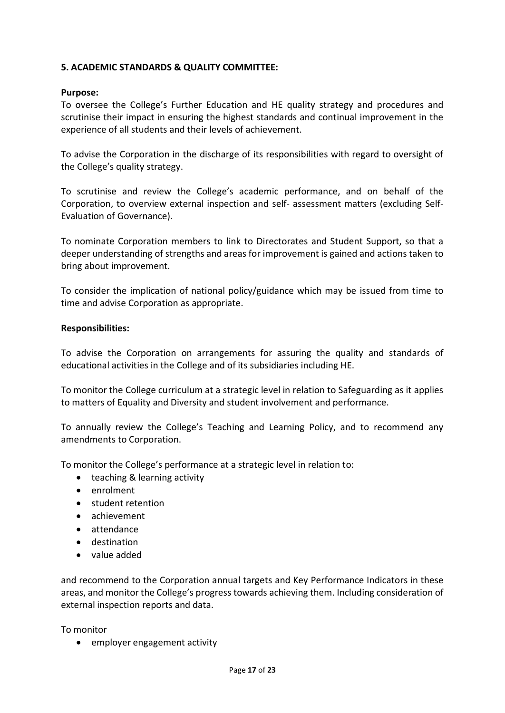#### **5. ACADEMIC STANDARDS & QUALITY COMMITTEE:**

#### **Purpose:**

To oversee the College's Further Education and HE quality strategy and procedures and scrutinise their impact in ensuring the highest standards and continual improvement in the experience of all students and their levels of achievement.

To advise the Corporation in the discharge of its responsibilities with regard to oversight of the College's quality strategy.

To scrutinise and review the College's academic performance, and on behalf of the Corporation, to overview external inspection and self- assessment matters (excluding Self-Evaluation of Governance).

To nominate Corporation members to link to Directorates and Student Support, so that a deeper understanding of strengths and areas for improvement is gained and actions taken to bring about improvement.

To consider the implication of national policy/guidance which may be issued from time to time and advise Corporation as appropriate.

#### **Responsibilities:**

To advise the Corporation on arrangements for assuring the quality and standards of educational activities in the College and of its subsidiaries including HE.

To monitor the College curriculum at a strategic level in relation to Safeguarding as it applies to matters of Equality and Diversity and student involvement and performance.

To annually review the College's Teaching and Learning Policy, and to recommend any amendments to Corporation.

To monitor the College's performance at a strategic level in relation to:

- teaching & learning activity
- enrolment
- student retention
- achievement
- attendance
- destination
- value added

and recommend to the Corporation annual targets and Key Performance Indicators in these areas, and monitor the College's progress towards achieving them. Including consideration of external inspection reports and data.

To monitor

• employer engagement activity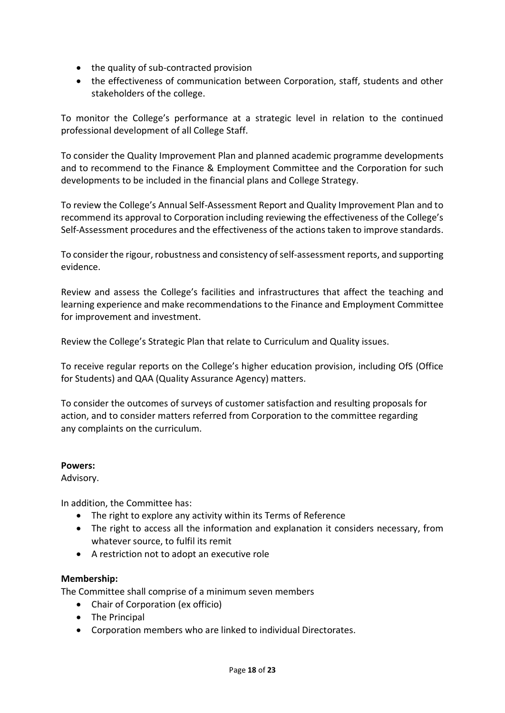- the quality of sub-contracted provision
- the effectiveness of communication between Corporation, staff, students and other stakeholders of the college.

To monitor the College's performance at a strategic level in relation to the continued professional development of all College Staff.

To consider the Quality Improvement Plan and planned academic programme developments and to recommend to the Finance & Employment Committee and the Corporation for such developments to be included in the financial plans and College Strategy.

To review the College's Annual Self-Assessment Report and Quality Improvement Plan and to recommend its approval to Corporation including reviewing the effectiveness of the College's Self-Assessment procedures and the effectiveness of the actions taken to improve standards.

To consider the rigour, robustness and consistency of self-assessment reports, and supporting evidence.

Review and assess the College's facilities and infrastructures that affect the teaching and learning experience and make recommendations to the Finance and Employment Committee for improvement and investment.

Review the College's Strategic Plan that relate to Curriculum and Quality issues.

To receive regular reports on the College's higher education provision, including OfS (Office for Students) and QAA (Quality Assurance Agency) matters.

To consider the outcomes of surveys of customer satisfaction and resulting proposals for action, and to consider matters referred from Corporation to the committee regarding any complaints on the curriculum.

#### **Powers:**

Advisory.

In addition, the Committee has:

- The right to explore any activity within its Terms of Reference
- The right to access all the information and explanation it considers necessary, from whatever source, to fulfil its remit
- A restriction not to adopt an executive role

#### **Membership:**

The Committee shall comprise of a minimum seven members

- Chair of Corporation (ex officio)
- The Principal
- Corporation members who are linked to individual Directorates.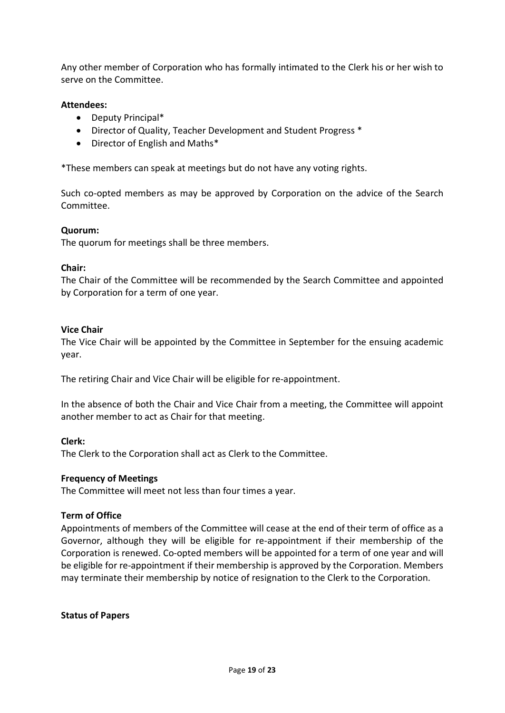Any other member of Corporation who has formally intimated to the Clerk his or her wish to serve on the Committee.

#### **Attendees:**

- Deputy Principal\*
- Director of Quality, Teacher Development and Student Progress \*
- Director of English and Maths\*

\*These members can speak at meetings but do not have any voting rights.

Such co-opted members as may be approved by Corporation on the advice of the Search Committee.

#### **Quorum:**

The quorum for meetings shall be three members.

#### **Chair:**

The Chair of the Committee will be recommended by the Search Committee and appointed by Corporation for a term of one year.

#### **Vice Chair**

The Vice Chair will be appointed by the Committee in September for the ensuing academic year.

The retiring Chair and Vice Chair will be eligible for re-appointment.

In the absence of both the Chair and Vice Chair from a meeting, the Committee will appoint another member to act as Chair for that meeting.

#### **Clerk:**

The Clerk to the Corporation shall act as Clerk to the Committee.

#### **Frequency of Meetings**

The Committee will meet not less than four times a year.

#### **Term of Office**

Appointments of members of the Committee will cease at the end of their term of office as a Governor, although they will be eligible for re-appointment if their membership of the Corporation is renewed. Co-opted members will be appointed for a term of one year and will be eligible for re-appointment if their membership is approved by the Corporation. Members may terminate their membership by notice of resignation to the Clerk to the Corporation.

#### **Status of Papers**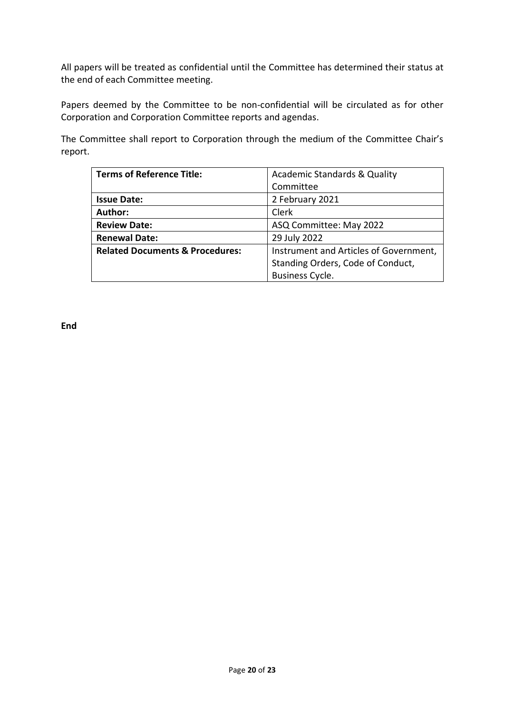All papers will be treated as confidential until the Committee has determined their status at the end of each Committee meeting.

Papers deemed by the Committee to be non-confidential will be circulated as for other Corporation and Corporation Committee reports and agendas.

The Committee shall report to Corporation through the medium of the Committee Chair's report.

| <b>Terms of Reference Title:</b>           | <b>Academic Standards &amp; Quality</b> |
|--------------------------------------------|-----------------------------------------|
|                                            | Committee                               |
| <b>Issue Date:</b>                         | 2 February 2021                         |
| Author:                                    | Clerk                                   |
| <b>Review Date:</b>                        | ASQ Committee: May 2022                 |
| <b>Renewal Date:</b>                       | 29 July 2022                            |
| <b>Related Documents &amp; Procedures:</b> | Instrument and Articles of Government,  |
|                                            | Standing Orders, Code of Conduct,       |
|                                            | <b>Business Cycle.</b>                  |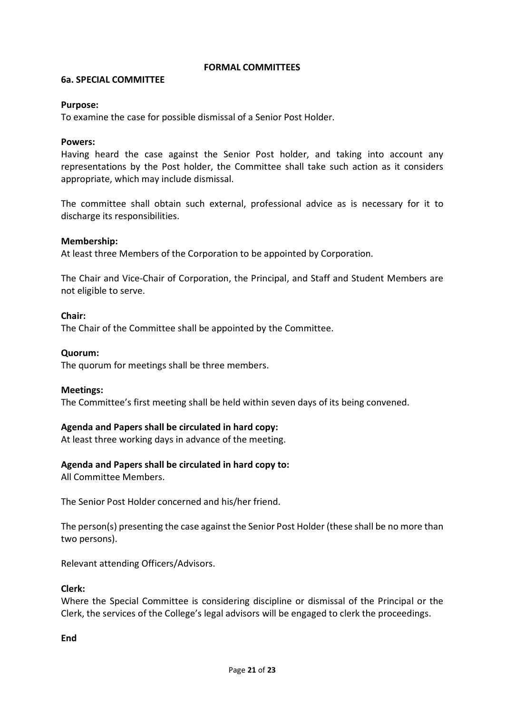#### **FORMAL COMMITTEES**

#### **6a. SPECIAL COMMITTEE**

#### **Purpose:**

To examine the case for possible dismissal of a Senior Post Holder.

#### **Powers:**

Having heard the case against the Senior Post holder, and taking into account any representations by the Post holder, the Committee shall take such action as it considers appropriate, which may include dismissal.

The committee shall obtain such external, professional advice as is necessary for it to discharge its responsibilities.

#### **Membership:**

At least three Members of the Corporation to be appointed by Corporation.

The Chair and Vice-Chair of Corporation, the Principal, and Staff and Student Members are not eligible to serve.

#### **Chair:**

The Chair of the Committee shall be appointed by the Committee.

#### **Quorum:**

The quorum for meetings shall be three members.

#### **Meetings:**

The Committee's first meeting shall be held within seven days of its being convened.

#### **Agenda and Papers shall be circulated in hard copy:**

At least three working days in advance of the meeting.

#### **Agenda and Papers shall be circulated in hard copy to:**

All Committee Members.

The Senior Post Holder concerned and his/her friend.

The person(s) presenting the case against the Senior Post Holder (these shall be no more than two persons).

Relevant attending Officers/Advisors.

#### **Clerk:**

Where the Special Committee is considering discipline or dismissal of the Principal or the Clerk, the services of the College's legal advisors will be engaged to clerk the proceedings.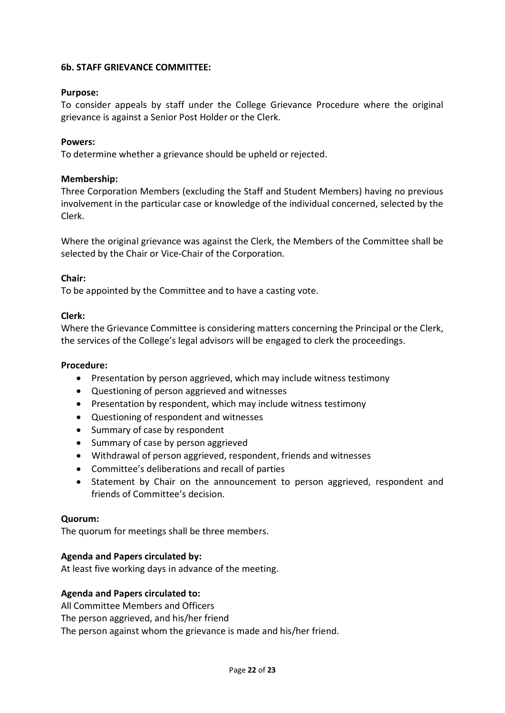#### **6b. STAFF GRIEVANCE COMMITTEE:**

#### **Purpose:**

To consider appeals by staff under the College Grievance Procedure where the original grievance is against a Senior Post Holder or the Clerk.

#### **Powers:**

To determine whether a grievance should be upheld or rejected.

#### **Membership:**

Three Corporation Members (excluding the Staff and Student Members) having no previous involvement in the particular case or knowledge of the individual concerned, selected by the Clerk.

Where the original grievance was against the Clerk, the Members of the Committee shall be selected by the Chair or Vice-Chair of the Corporation.

#### **Chair:**

To be appointed by the Committee and to have a casting vote.

#### **Clerk:**

Where the Grievance Committee is considering matters concerning the Principal or the Clerk, the services of the College's legal advisors will be engaged to clerk the proceedings.

#### **Procedure:**

- Presentation by person aggrieved, which may include witness testimony
- Questioning of person aggrieved and witnesses
- Presentation by respondent, which may include witness testimony
- Questioning of respondent and witnesses
- Summary of case by respondent
- Summary of case by person aggrieved
- Withdrawal of person aggrieved, respondent, friends and witnesses
- Committee's deliberations and recall of parties
- Statement by Chair on the announcement to person aggrieved, respondent and friends of Committee's decision.

#### **Quorum:**

The quorum for meetings shall be three members.

#### **Agenda and Papers circulated by:**

At least five working days in advance of the meeting.

#### **Agenda and Papers circulated to:**

All Committee Members and Officers The person aggrieved, and his/her friend The person against whom the grievance is made and his/her friend.